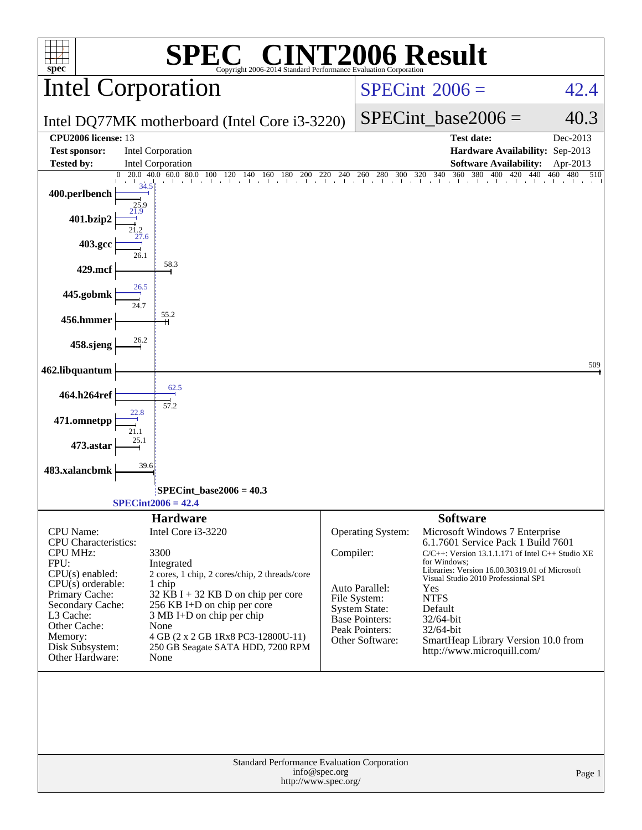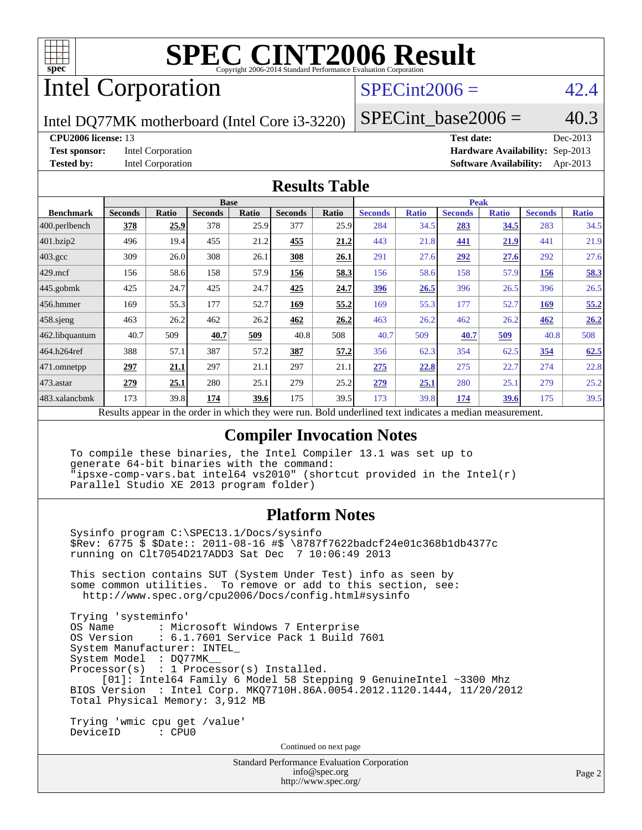

# Intel Corporation

# $SPECint2006 = 42.4$  $SPECint2006 = 42.4$

Intel DQ77MK motherboard (Intel Core i3-3220)

SPECint base2006 =  $40.3$ 

#### **[CPU2006 license:](http://www.spec.org/auto/cpu2006/Docs/result-fields.html#CPU2006license)** 13 **[Test date:](http://www.spec.org/auto/cpu2006/Docs/result-fields.html#Testdate)** Dec-2013

**[Test sponsor:](http://www.spec.org/auto/cpu2006/Docs/result-fields.html#Testsponsor)** Intel Corporation **[Hardware Availability:](http://www.spec.org/auto/cpu2006/Docs/result-fields.html#HardwareAvailability)** Sep-2013 **[Tested by:](http://www.spec.org/auto/cpu2006/Docs/result-fields.html#Testedby)** Intel Corporation **[Software Availability:](http://www.spec.org/auto/cpu2006/Docs/result-fields.html#SoftwareAvailability)** Apr-2013

### **[Results Table](http://www.spec.org/auto/cpu2006/Docs/result-fields.html#ResultsTable)**

|                                                                                                   | <b>Base</b>    |              |                |       | <b>Peak</b>    |       |                |              |                |              |                |              |
|---------------------------------------------------------------------------------------------------|----------------|--------------|----------------|-------|----------------|-------|----------------|--------------|----------------|--------------|----------------|--------------|
| <b>Benchmark</b>                                                                                  | <b>Seconds</b> | <b>Ratio</b> | <b>Seconds</b> | Ratio | <b>Seconds</b> | Ratio | <b>Seconds</b> | <b>Ratio</b> | <b>Seconds</b> | <b>Ratio</b> | <b>Seconds</b> | <b>Ratio</b> |
| 400.perlbench                                                                                     | 378            | <u>25.9</u>  | 378            | 25.9  | 377            | 25.9  | 284            | 34.5         | 283            | 34.5         | 283            | 34.5         |
| 401.bzip2                                                                                         | 496            | 19.4         | 455            | 21.2  | 455            | 21.2  | 443            | 21.8         | 441            | <u>21.9</u>  | 441            | 21.9         |
| $403.\mathrm{gcc}$                                                                                | 309            | 26.0         | 308            | 26.1  | 308            | 26.1  | 291            | 27.6         | 292            | 27.6         | 292            | 27.6         |
| $429$ .mcf                                                                                        | 156            | 58.6         | 158            | 57.9  | 156            | 58.3  | 156            | 58.6         | 158            | 57.9         | 156            | 58.3         |
| $445$ .gobmk                                                                                      | 425            | 24.7         | 425            | 24.7  | 425            | 24.7  | 396            | 26.5         | 396            | 26.5         | 396            | 26.5         |
| $456.$ hmmer                                                                                      | 169            | 55.3         | 177            | 52.7  | 169            | 55.2  | 169            | 55.3         | 177            | 52.7         | <b>169</b>     | 55.2         |
| $458$ .sjeng                                                                                      | 463            | 26.2         | 462            | 26.2  | 462            | 26.2  | 463            | 26.2         | 462            | 26.2         | 462            | 26.2         |
| 462.libquantum                                                                                    | 40.7           | 509          | 40.7           | 509   | 40.8           | 508   | 40.7           | 509          | 40.7           | <u>509</u>   | 40.8           | 508          |
| 464.h264ref                                                                                       | 388            | 57.1         | 387            | 57.2  | 387            | 57.2  | 356            | 62.3         | 354            | 62.5         | 354            | 62.5         |
| 471.omnetpp                                                                                       | 297            | <u>21.1</u>  | 297            | 21.1  | 297            | 21.1  | 275            | 22.8         | 275            | 22.7         | 274            | 22.8         |
| $473$ . astar                                                                                     | 279            | 25.1         | 280            | 25.1  | 279            | 25.2  | 279            | 25.1         | 280            | 25.1         | 279            | 25.2         |
| 483.xalancbmk                                                                                     | 173            | 39.8         | 174            | 39.6  | 175            | 39.5  | 173            | 39.8         | 174            | 39.6         | 175            | 39.5         |
| Describe announced to the conduction to think there are more<br>Dald and adjust to at indicates a |                |              |                |       |                |       |                |              |                |              |                |              |

Results appear in the [order in which they were run.](http://www.spec.org/auto/cpu2006/Docs/result-fields.html#RunOrder) Bold underlined text [indicates a median measurement.](http://www.spec.org/auto/cpu2006/Docs/result-fields.html#Median)

### **[Compiler Invocation Notes](http://www.spec.org/auto/cpu2006/Docs/result-fields.html#CompilerInvocationNotes)**

 To compile these binaries, the Intel Compiler 13.1 was set up to generate 64-bit binaries with the command: "ipsxe-comp-vars.bat intel64 vs2010" (shortcut provided in the Intel(r) Parallel Studio XE 2013 program folder)

### **[Platform Notes](http://www.spec.org/auto/cpu2006/Docs/result-fields.html#PlatformNotes)**

 Sysinfo program C:\SPEC13.1/Docs/sysinfo \$Rev: 6775 \$ \$Date:: 2011-08-16 #\$ \8787f7622badcf24e01c368b1db4377c running on Clt7054D217ADD3 Sat Dec 7 10:06:49 2013 This section contains SUT (System Under Test) info as seen by some common utilities. To remove or add to this section, see: <http://www.spec.org/cpu2006/Docs/config.html#sysinfo> Trying 'systeminfo' : Microsoft Windows 7 Enterprise OS Version : 6.1.7601 Service Pack 1 Build 7601 System Manufacturer: INTEL\_ System Model : DQ77MK\_\_ Processor(s) : 1 Processor(s) Installed. [01]: Intel64 Family 6 Model 58 Stepping 9 GenuineIntel ~3300 Mhz BIOS Version : Intel Corp. MKQ7710H.86A.0054.2012.1120.1444, 11/20/2012 Total Physical Memory: 3,912 MB Trying 'wmic cpu get /value' DeviceID : CPU0

Continued on next page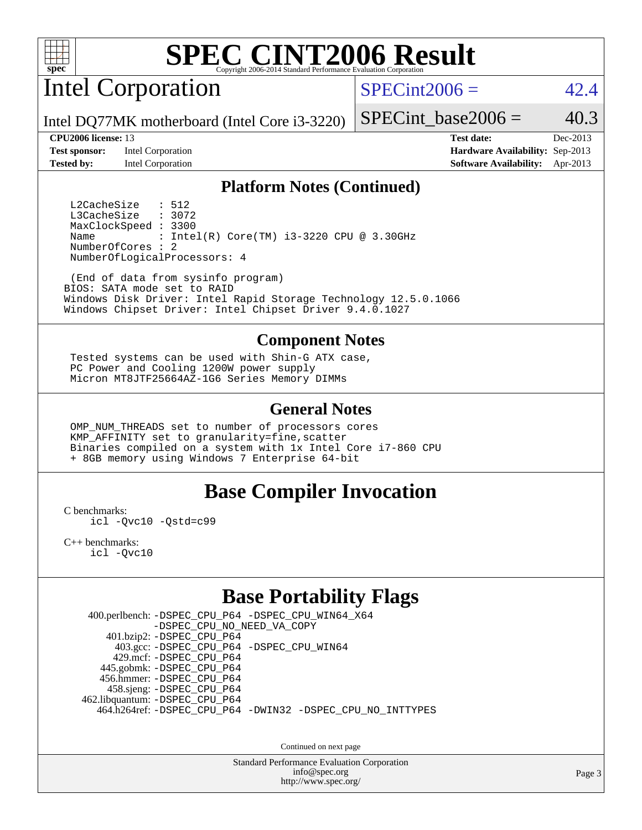

Intel Corporation

 $SPECint2006 = 42.4$  $SPECint2006 = 42.4$ 

Intel DQ77MK motherboard (Intel Core i3-3220)

**[Test sponsor:](http://www.spec.org/auto/cpu2006/Docs/result-fields.html#Testsponsor)** Intel Corporation **[Hardware Availability:](http://www.spec.org/auto/cpu2006/Docs/result-fields.html#HardwareAvailability)** Sep-2013

SPECint base2006 =  $40.3$ 

**[CPU2006 license:](http://www.spec.org/auto/cpu2006/Docs/result-fields.html#CPU2006license)** 13 **[Test date:](http://www.spec.org/auto/cpu2006/Docs/result-fields.html#Testdate)** Dec-2013 **[Tested by:](http://www.spec.org/auto/cpu2006/Docs/result-fields.html#Testedby)** Intel Corporation **[Software Availability:](http://www.spec.org/auto/cpu2006/Docs/result-fields.html#SoftwareAvailability)** Apr-2013

#### **[Platform Notes \(Continued\)](http://www.spec.org/auto/cpu2006/Docs/result-fields.html#PlatformNotes)**

L2CacheSize : 512<br>L3CacheSize : 3072 L3CacheSize MaxClockSpeed : 3300 Name : Intel(R) Core(TM) i3-3220 CPU @ 3.30GHz NumberOfCores : 2 NumberOfLogicalProcessors: 4

 (End of data from sysinfo program) BIOS: SATA mode set to RAID Windows Disk Driver: Intel Rapid Storage Technology 12.5.0.1066 Windows Chipset Driver: Intel Chipset Driver 9.4.0.1027

#### **[Component Notes](http://www.spec.org/auto/cpu2006/Docs/result-fields.html#ComponentNotes)**

 Tested systems can be used with Shin-G ATX case, PC Power and Cooling 1200W power supply Micron MT8JTF25664AZ-1G6 Series Memory DIMMs

### **[General Notes](http://www.spec.org/auto/cpu2006/Docs/result-fields.html#GeneralNotes)**

 OMP\_NUM\_THREADS set to number of processors cores KMP\_AFFINITY set to granularity=fine,scatter Binaries compiled on a system with 1x Intel Core i7-860 CPU + 8GB memory using Windows 7 Enterprise 64-bit

### **[Base Compiler Invocation](http://www.spec.org/auto/cpu2006/Docs/result-fields.html#BaseCompilerInvocation)**

[C benchmarks](http://www.spec.org/auto/cpu2006/Docs/result-fields.html#Cbenchmarks):

[icl -Qvc10](http://www.spec.org/cpu2006/results/res2014q3/cpu2006-20140701-30224.flags.html#user_CCbase_intel_icc_vc10_9607f3ecbcdf68042245f068e51b40c1) [-Qstd=c99](http://www.spec.org/cpu2006/results/res2014q3/cpu2006-20140701-30224.flags.html#user_CCbase_intel_compiler_c99_mode_1a3d110e3041b3ad4466830521bdad2a)

[C++ benchmarks:](http://www.spec.org/auto/cpu2006/Docs/result-fields.html#CXXbenchmarks) [icl -Qvc10](http://www.spec.org/cpu2006/results/res2014q3/cpu2006-20140701-30224.flags.html#user_CXXbase_intel_icc_vc10_9607f3ecbcdf68042245f068e51b40c1)

# **[Base Portability Flags](http://www.spec.org/auto/cpu2006/Docs/result-fields.html#BasePortabilityFlags)**

 400.perlbench: [-DSPEC\\_CPU\\_P64](http://www.spec.org/cpu2006/results/res2014q3/cpu2006-20140701-30224.flags.html#b400.perlbench_basePORTABILITY_DSPEC_CPU_P64) [-DSPEC\\_CPU\\_WIN64\\_X64](http://www.spec.org/cpu2006/results/res2014q3/cpu2006-20140701-30224.flags.html#b400.perlbench_baseCPORTABILITY_DSPEC_CPU_WIN64_X64) [-DSPEC\\_CPU\\_NO\\_NEED\\_VA\\_COPY](http://www.spec.org/cpu2006/results/res2014q3/cpu2006-20140701-30224.flags.html#b400.perlbench_baseCPORTABILITY_DSPEC_CPU_NO_NEED_VA_COPY) 401.bzip2: [-DSPEC\\_CPU\\_P64](http://www.spec.org/cpu2006/results/res2014q3/cpu2006-20140701-30224.flags.html#suite_basePORTABILITY401_bzip2_DSPEC_CPU_P64) 403.gcc: [-DSPEC\\_CPU\\_P64](http://www.spec.org/cpu2006/results/res2014q3/cpu2006-20140701-30224.flags.html#suite_basePORTABILITY403_gcc_DSPEC_CPU_P64) [-DSPEC\\_CPU\\_WIN64](http://www.spec.org/cpu2006/results/res2014q3/cpu2006-20140701-30224.flags.html#b403.gcc_baseCPORTABILITY_DSPEC_CPU_WIN64) 429.mcf: [-DSPEC\\_CPU\\_P64](http://www.spec.org/cpu2006/results/res2014q3/cpu2006-20140701-30224.flags.html#suite_basePORTABILITY429_mcf_DSPEC_CPU_P64) 445.gobmk: [-DSPEC\\_CPU\\_P64](http://www.spec.org/cpu2006/results/res2014q3/cpu2006-20140701-30224.flags.html#suite_basePORTABILITY445_gobmk_DSPEC_CPU_P64) 456.hmmer: [-DSPEC\\_CPU\\_P64](http://www.spec.org/cpu2006/results/res2014q3/cpu2006-20140701-30224.flags.html#suite_basePORTABILITY456_hmmer_DSPEC_CPU_P64) 458.sjeng: [-DSPEC\\_CPU\\_P64](http://www.spec.org/cpu2006/results/res2014q3/cpu2006-20140701-30224.flags.html#suite_basePORTABILITY458_sjeng_DSPEC_CPU_P64) 462.libquantum: [-DSPEC\\_CPU\\_P64](http://www.spec.org/cpu2006/results/res2014q3/cpu2006-20140701-30224.flags.html#suite_basePORTABILITY462_libquantum_DSPEC_CPU_P64) 464.h264ref: [-DSPEC\\_CPU\\_P64](http://www.spec.org/cpu2006/results/res2014q3/cpu2006-20140701-30224.flags.html#suite_basePORTABILITY464_h264ref_DSPEC_CPU_P64) [-DWIN32](http://www.spec.org/cpu2006/results/res2014q3/cpu2006-20140701-30224.flags.html#b464.h264ref_baseCPORTABILITY_DWIN32) [-DSPEC\\_CPU\\_NO\\_INTTYPES](http://www.spec.org/cpu2006/results/res2014q3/cpu2006-20140701-30224.flags.html#b464.h264ref_baseCPORTABILITY_DSPEC_CPU_NO_INTTYPES)

Continued on next page

Standard Performance Evaluation Corporation [info@spec.org](mailto:info@spec.org) <http://www.spec.org/>

Page 3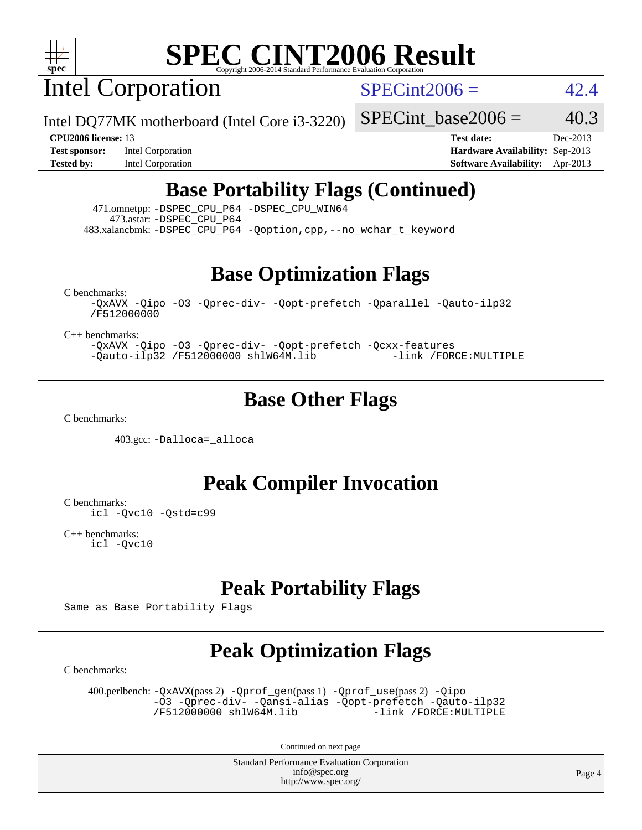

Intel Corporation

 $SPECint2006 = 42.4$  $SPECint2006 = 42.4$ 

Intel DQ77MK motherboard (Intel Core i3-3220)

**[Tested by:](http://www.spec.org/auto/cpu2006/Docs/result-fields.html#Testedby)** Intel Corporation **[Software Availability:](http://www.spec.org/auto/cpu2006/Docs/result-fields.html#SoftwareAvailability)** Apr-2013

**[CPU2006 license:](http://www.spec.org/auto/cpu2006/Docs/result-fields.html#CPU2006license)** 13 **[Test date:](http://www.spec.org/auto/cpu2006/Docs/result-fields.html#Testdate)** Dec-2013 **[Test sponsor:](http://www.spec.org/auto/cpu2006/Docs/result-fields.html#Testsponsor)** Intel Corporation **[Hardware Availability:](http://www.spec.org/auto/cpu2006/Docs/result-fields.html#HardwareAvailability)** Sep-2013

SPECint base2006 =  $40.3$ 

# **[Base Portability Flags \(Continued\)](http://www.spec.org/auto/cpu2006/Docs/result-fields.html#BasePortabilityFlags)**

 471.omnetpp: [-DSPEC\\_CPU\\_P64](http://www.spec.org/cpu2006/results/res2014q3/cpu2006-20140701-30224.flags.html#suite_basePORTABILITY471_omnetpp_DSPEC_CPU_P64) [-DSPEC\\_CPU\\_WIN64](http://www.spec.org/cpu2006/results/res2014q3/cpu2006-20140701-30224.flags.html#b471.omnetpp_baseCXXPORTABILITY_DSPEC_CPU_WIN64) 473.astar: [-DSPEC\\_CPU\\_P64](http://www.spec.org/cpu2006/results/res2014q3/cpu2006-20140701-30224.flags.html#suite_basePORTABILITY473_astar_DSPEC_CPU_P64) 483.xalancbmk: [-DSPEC\\_CPU\\_P64](http://www.spec.org/cpu2006/results/res2014q3/cpu2006-20140701-30224.flags.html#suite_basePORTABILITY483_xalancbmk_DSPEC_CPU_P64) [-Qoption,cpp,--no\\_wchar\\_t\\_keyword](http://www.spec.org/cpu2006/results/res2014q3/cpu2006-20140701-30224.flags.html#user_baseCXXPORTABILITY483_xalancbmk_f-no_wchar_t_keyword_ec0ad4495a16b4e858bfcb29d949d25d)

**[Base Optimization Flags](http://www.spec.org/auto/cpu2006/Docs/result-fields.html#BaseOptimizationFlags)**

[C benchmarks](http://www.spec.org/auto/cpu2006/Docs/result-fields.html#Cbenchmarks):

[-QxAVX](http://www.spec.org/cpu2006/results/res2014q3/cpu2006-20140701-30224.flags.html#user_CCbase_f-QxAVX) [-Qipo](http://www.spec.org/cpu2006/results/res2014q3/cpu2006-20140701-30224.flags.html#user_CCbase_f-Qipo) [-O3](http://www.spec.org/cpu2006/results/res2014q3/cpu2006-20140701-30224.flags.html#user_CCbase_f-O3) [-Qprec-div-](http://www.spec.org/cpu2006/results/res2014q3/cpu2006-20140701-30224.flags.html#user_CCbase_f-Qprec-div-) [-Qopt-prefetch](http://www.spec.org/cpu2006/results/res2014q3/cpu2006-20140701-30224.flags.html#user_CCbase_f-Qprefetch_37c211608666b9dff9380561f602f0a8) [-Qparallel](http://www.spec.org/cpu2006/results/res2014q3/cpu2006-20140701-30224.flags.html#user_CCbase_f-Qparallel) [-Qauto-ilp32](http://www.spec.org/cpu2006/results/res2014q3/cpu2006-20140701-30224.flags.html#user_CCbase_f-Qauto-ilp32) [/F512000000](http://www.spec.org/cpu2006/results/res2014q3/cpu2006-20140701-30224.flags.html#user_CCbase_set_stack_space_98438a10eb60aa5f35f4c79d9b9b27b1)

[C++ benchmarks:](http://www.spec.org/auto/cpu2006/Docs/result-fields.html#CXXbenchmarks)

[-QxAVX](http://www.spec.org/cpu2006/results/res2014q3/cpu2006-20140701-30224.flags.html#user_CXXbase_f-QxAVX) [-Qipo](http://www.spec.org/cpu2006/results/res2014q3/cpu2006-20140701-30224.flags.html#user_CXXbase_f-Qipo) [-O3](http://www.spec.org/cpu2006/results/res2014q3/cpu2006-20140701-30224.flags.html#user_CXXbase_f-O3) [-Qprec-div-](http://www.spec.org/cpu2006/results/res2014q3/cpu2006-20140701-30224.flags.html#user_CXXbase_f-Qprec-div-) [-Qopt-prefetch](http://www.spec.org/cpu2006/results/res2014q3/cpu2006-20140701-30224.flags.html#user_CXXbase_f-Qprefetch_37c211608666b9dff9380561f602f0a8) [-Qcxx-features](http://www.spec.org/cpu2006/results/res2014q3/cpu2006-20140701-30224.flags.html#user_CXXbase_f-Qcxx_features_dbf36c8a6dba956e22f1645e4dcd4d98)  $-Qauto-ilp32 /F512000000$  $-Qauto-ilp32 /F512000000$  $-Qauto-ilp32 /F512000000$  [shlW64M.lib](http://www.spec.org/cpu2006/results/res2014q3/cpu2006-20140701-30224.flags.html#user_CXXbase_SmartHeap64_c4f7f76711bdf8c0633a5c1edf6e5396)

### **[Base Other Flags](http://www.spec.org/auto/cpu2006/Docs/result-fields.html#BaseOtherFlags)**

[C benchmarks](http://www.spec.org/auto/cpu2006/Docs/result-fields.html#Cbenchmarks):

403.gcc: [-Dalloca=\\_alloca](http://www.spec.org/cpu2006/results/res2014q3/cpu2006-20140701-30224.flags.html#b403.gcc_baseEXTRA_CFLAGS_Dalloca_be3056838c12de2578596ca5467af7f3)

**[Peak Compiler Invocation](http://www.spec.org/auto/cpu2006/Docs/result-fields.html#PeakCompilerInvocation)**

[C benchmarks](http://www.spec.org/auto/cpu2006/Docs/result-fields.html#Cbenchmarks): [icl -Qvc10](http://www.spec.org/cpu2006/results/res2014q3/cpu2006-20140701-30224.flags.html#user_CCpeak_intel_icc_vc10_9607f3ecbcdf68042245f068e51b40c1) [-Qstd=c99](http://www.spec.org/cpu2006/results/res2014q3/cpu2006-20140701-30224.flags.html#user_CCpeak_intel_compiler_c99_mode_1a3d110e3041b3ad4466830521bdad2a)

[C++ benchmarks:](http://www.spec.org/auto/cpu2006/Docs/result-fields.html#CXXbenchmarks) [icl -Qvc10](http://www.spec.org/cpu2006/results/res2014q3/cpu2006-20140701-30224.flags.html#user_CXXpeak_intel_icc_vc10_9607f3ecbcdf68042245f068e51b40c1)

# **[Peak Portability Flags](http://www.spec.org/auto/cpu2006/Docs/result-fields.html#PeakPortabilityFlags)**

Same as Base Portability Flags

# **[Peak Optimization Flags](http://www.spec.org/auto/cpu2006/Docs/result-fields.html#PeakOptimizationFlags)**

[C benchmarks](http://www.spec.org/auto/cpu2006/Docs/result-fields.html#Cbenchmarks):

 400.perlbench: [-QxAVX](http://www.spec.org/cpu2006/results/res2014q3/cpu2006-20140701-30224.flags.html#user_peakPASS2_CFLAGSPASS2_LDFLAGS400_perlbench_f-QxAVX)(pass 2) [-Qprof\\_gen](http://www.spec.org/cpu2006/results/res2014q3/cpu2006-20140701-30224.flags.html#user_peakPASS1_CFLAGSPASS1_LDFLAGS400_perlbench_Qprof_gen)(pass 1) [-Qprof\\_use](http://www.spec.org/cpu2006/results/res2014q3/cpu2006-20140701-30224.flags.html#user_peakPASS2_CFLAGSPASS2_LDFLAGS400_perlbench_Qprof_use)(pass 2) [-Qipo](http://www.spec.org/cpu2006/results/res2014q3/cpu2006-20140701-30224.flags.html#user_peakOPTIMIZE400_perlbench_f-Qipo) [-O3](http://www.spec.org/cpu2006/results/res2014q3/cpu2006-20140701-30224.flags.html#user_peakOPTIMIZE400_perlbench_f-O3) [-Qprec-div-](http://www.spec.org/cpu2006/results/res2014q3/cpu2006-20140701-30224.flags.html#user_peakOPTIMIZE400_perlbench_f-Qprec-div-) [-Qansi-alias](http://www.spec.org/cpu2006/results/res2014q3/cpu2006-20140701-30224.flags.html#user_peakOPTIMIZE400_perlbench_f-Qansi-alias) [-Qopt-prefetch](http://www.spec.org/cpu2006/results/res2014q3/cpu2006-20140701-30224.flags.html#user_peakOPTIMIZE400_perlbench_f-Qprefetch_37c211608666b9dff9380561f602f0a8) [-Qauto-ilp32](http://www.spec.org/cpu2006/results/res2014q3/cpu2006-20140701-30224.flags.html#user_peakCOPTIMIZE400_perlbench_f-Qauto-ilp32) [/F512000000](http://www.spec.org/cpu2006/results/res2014q3/cpu2006-20140701-30224.flags.html#user_peakEXTRA_LDFLAGS400_perlbench_set_stack_space_98438a10eb60aa5f35f4c79d9b9b27b1) [shlW64M.lib](http://www.spec.org/cpu2006/results/res2014q3/cpu2006-20140701-30224.flags.html#user_peakEXTRA_LIBS400_perlbench_SmartHeap64_c4f7f76711bdf8c0633a5c1edf6e5396)

Continued on next page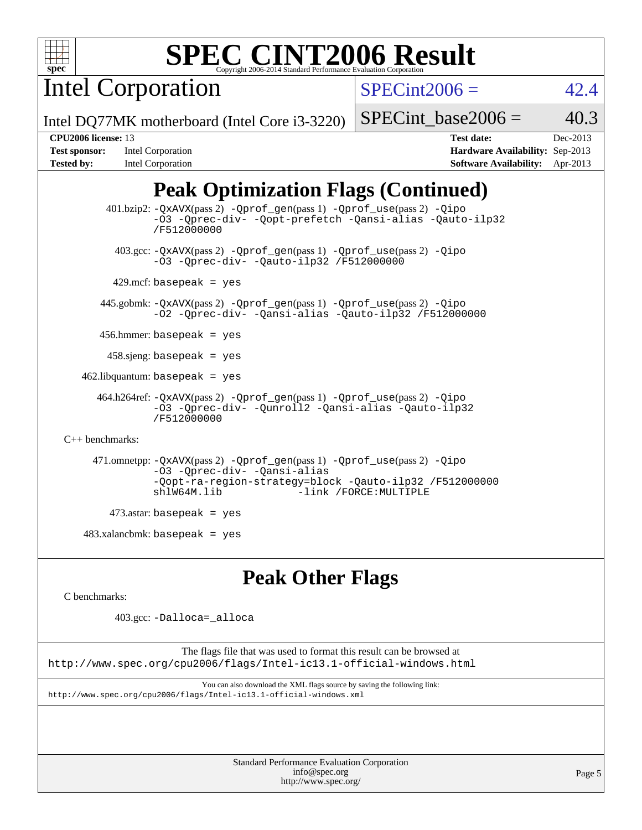

Intel Corporation

 $SPECint2006 = 42.4$  $SPECint2006 = 42.4$ 

Intel DQ77MK motherboard (Intel Core i3-3220)

### SPECint base2006 =  $40.3$

| <b>Test sponsor:</b> | Intel Corporation |
|----------------------|-------------------|
| <b>Tested by:</b>    | Intel Corporation |

**[CPU2006 license:](http://www.spec.org/auto/cpu2006/Docs/result-fields.html#CPU2006license)** 13 **[Test date:](http://www.spec.org/auto/cpu2006/Docs/result-fields.html#Testdate)** Dec-2013 **[Hardware Availability:](http://www.spec.org/auto/cpu2006/Docs/result-fields.html#HardwareAvailability)** Sep-2013 **[Software Availability:](http://www.spec.org/auto/cpu2006/Docs/result-fields.html#SoftwareAvailability)** Apr-2013

# **[Peak Optimization Flags \(Continued\)](http://www.spec.org/auto/cpu2006/Docs/result-fields.html#PeakOptimizationFlags)**

```
 401.bzip2: -QxAVX(pass 2) -Qprof_gen(pass 1) -Qprof_use(pass 2) -Qipo
                -O3 -Qprec-div- -Qopt-prefetch -Qansi-alias -Qauto-ilp32
                /F512000000
          403.gcc: -QxAVX(pass 2) -Qprof_gen(pass 1) -Qprof_use(pass 2) -Qipo
                -O3 -Qprec-div- -Qauto-ilp32 /F512000000
        429.mcf: basepeak = yes
       445.gobmk: -QxAVX(pass 2) -Qprof_gen(pass 1) -Qprof_use(pass 2) -Qipo
                -O2 -Qprec-div- -Qansi-alias -Qauto-ilp32 /F512000000
       456.hmmer: basepeak = yes
        458.sjeng: basepeak = yes
    462.libquantum: basepeak = yes
      464.h264ref: -QxAVX(pass 2) -Qprof_gen(pass 1) -Qprof_use(pass 2) -Qipo
                -O3 -Qprec-div- -Qunroll2 -Qansi-alias -Qauto-ilp32
                /F512000000
C++ benchmarks: 
      471.omnetpp: -QxAVX(pass 2) -Qprof_gen(pass 1) -Qprof_use(pass 2) -Qipo
                -O3 -Qprec-div- -Qansi-alias
                -Qopt-ra-region-strategy=block -Qauto-ilp32 /F512000000
                                          -link /FORCE: MULTIPLE
         473.astar: basepeak = yes
   483.xalanchmk: basepeak = yes
```
# **[Peak Other Flags](http://www.spec.org/auto/cpu2006/Docs/result-fields.html#PeakOtherFlags)**

[C benchmarks](http://www.spec.org/auto/cpu2006/Docs/result-fields.html#Cbenchmarks):

403.gcc: [-Dalloca=\\_alloca](http://www.spec.org/cpu2006/results/res2014q3/cpu2006-20140701-30224.flags.html#b403.gcc_peakEXTRA_CFLAGS_Dalloca_be3056838c12de2578596ca5467af7f3)

The flags file that was used to format this result can be browsed at <http://www.spec.org/cpu2006/flags/Intel-ic13.1-official-windows.html>

You can also download the XML flags source by saving the following link: <http://www.spec.org/cpu2006/flags/Intel-ic13.1-official-windows.xml>